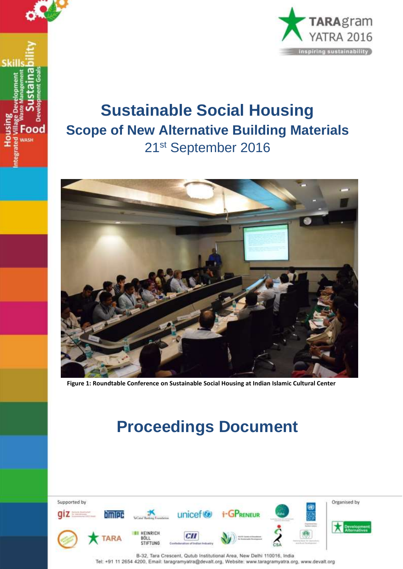



# **Sustainable Social Housing Scope of New Alternative Building Materials** 21st September 2016



**Figure 1: Roundtable Conference on Sustainable Social Housing at Indian Islamic Cultural Center**

# **Proceedings Document**

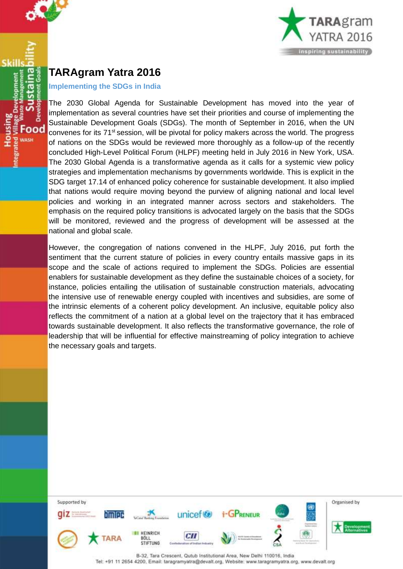

## <span id="page-1-0"></span>**TARAgram Yatra 2016**

Skill

Food **DACH** 

#### **Implementing the SDGs in India**

The 2030 Global Agenda for Sustainable Development has moved into the year of implementation as several countries have set their priorities and course of implementing the Sustainable Development Goals (SDGs). The month of September in 2016, when the UN convenes for its 71<sup>st</sup> session, will be pivotal for policy makers across the world. The progress of nations on the SDGs would be reviewed more thoroughly as a follow-up of the recently concluded High-Level Political Forum (HLPF) meeting held in July 2016 in New York, USA. The 2030 Global Agenda is a transformative agenda as it calls for a systemic view policy strategies and implementation mechanisms by governments worldwide. This is explicit in the SDG target 17.14 of enhanced policy coherence for sustainable development. It also implied that nations would require moving beyond the purview of aligning national and local level policies and working in an integrated manner across sectors and stakeholders. The emphasis on the required policy transitions is advocated largely on the basis that the SDGs will be monitored, reviewed and the progress of development will be assessed at the national and global scale.

However, the congregation of nations convened in the HLPF, July 2016, put forth the sentiment that the current stature of policies in every country entails massive gaps in its scope and the scale of actions required to implement the SDGs. Policies are essential enablers for sustainable development as they define the sustainable choices of a society, for instance, policies entailing the utilisation of sustainable construction materials, advocating the intensive use of renewable energy coupled with incentives and subsidies, are some of the intrinsic elements of a coherent policy development. An inclusive, equitable policy also reflects the commitment of a nation at a global level on the trajectory that it has embraced towards sustainable development. It also reflects the transformative governance, the role of leadership that will be influential for effective mainstreaming of policy integration to achieve the necessary goals and targets.

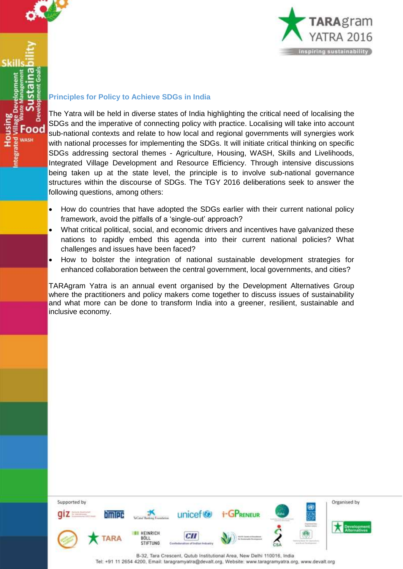

Food **MASH** 



#### **Principles for Policy to Achieve SDGs in India**

The Yatra will be held in diverse states of India highlighting the critical need of localising the SDGs and the imperative of connecting policy with practice. Localising will take into account sub-national contexts and relate to how local and regional governments will synergies work with national processes for implementing the SDGs. It will initiate critical thinking on specific SDGs addressing sectoral themes - Agriculture, Housing, WASH, Skills and Livelihoods, Integrated Village Development and Resource Efficiency. Through intensive discussions being taken up at the state level, the principle is to involve sub-national governance structures within the discourse of SDGs. The TGY 2016 deliberations seek to answer the following questions, among others:

- How do countries that have adopted the SDGs earlier with their current national policy framework, avoid the pitfalls of a 'single-out' approach?
- What critical political, social, and economic drivers and incentives have galvanized these nations to rapidly embed this agenda into their current national policies? What challenges and issues have been faced?
- How to bolster the integration of national sustainable development strategies for enhanced collaboration between the central government, local governments, and cities?

TARAgram Yatra is an annual event organised by the Development Alternatives Group where the practitioners and policy makers come together to discuss issues of sustainability and what more can be done to transform India into a greener, resilient, sustainable and inclusive economy.

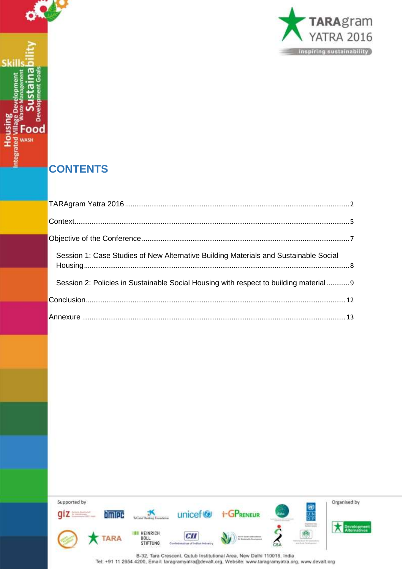

# **CONTENTS**

**OW** 

 $\overline{a}$ 

Food WASH

**Skills** 

**Housing**<br>ated Village Dev

| Session 1: Case Studies of New Alternative Building Materials and Sustainable Social   |  |
|----------------------------------------------------------------------------------------|--|
| Session 2: Policies in Sustainable Social Housing with respect to building material  9 |  |
|                                                                                        |  |
|                                                                                        |  |

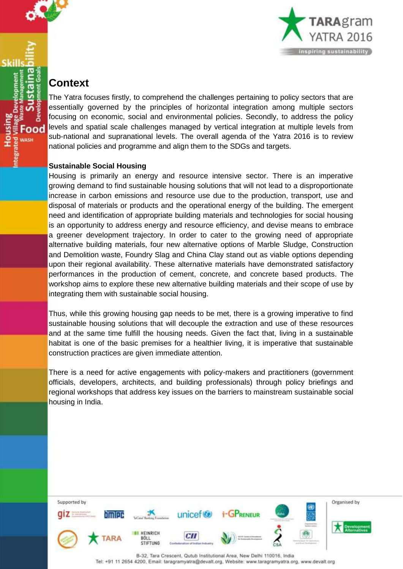

### <span id="page-4-0"></span>**Context**

Food **DACH** 

The Yatra focuses firstly, to comprehend the challenges pertaining to policy sectors that are essentially governed by the principles of horizontal integration among multiple sectors focusing on economic, social and environmental policies. Secondly, to address the policy levels and spatial scale challenges managed by vertical integration at multiple levels from sub-national and supranational levels. The overall agenda of the Yatra 2016 is to review national policies and programme and align them to the SDGs and targets.

#### **Sustainable Social Housing**

Housing is primarily an energy and resource intensive sector. There is an imperative growing demand to find sustainable housing solutions that will not lead to a disproportionate increase in carbon emissions and resource use due to the production, transport, use and disposal of materials or products and the operational energy of the building. The emergent need and identification of appropriate building materials and technologies for social housing is an opportunity to address energy and resource efficiency, and devise means to embrace a greener development trajectory. In order to cater to the growing need of appropriate alternative building materials, four new alternative options of Marble Sludge, Construction and Demolition waste, Foundry Slag and China Clay stand out as viable options depending upon their regional availability. These alternative materials have demonstrated satisfactory performances in the production of cement, concrete, and concrete based products. The workshop aims to explore these new alternative building materials and their scope of use by integrating them with sustainable social housing.

Thus, while this growing housing gap needs to be met, there is a growing imperative to find sustainable housing solutions that will decouple the extraction and use of these resources and at the same time fulfill the housing needs. Given the fact that, living in a sustainable habitat is one of the basic premises for a healthier living, it is imperative that sustainable construction practices are given immediate attention.

There is a need for active engagements with policy-makers and practitioners (government officials, developers, architects, and building professionals) through policy briefings and regional workshops that address key issues on the barriers to mainstream sustainable social housing in India.

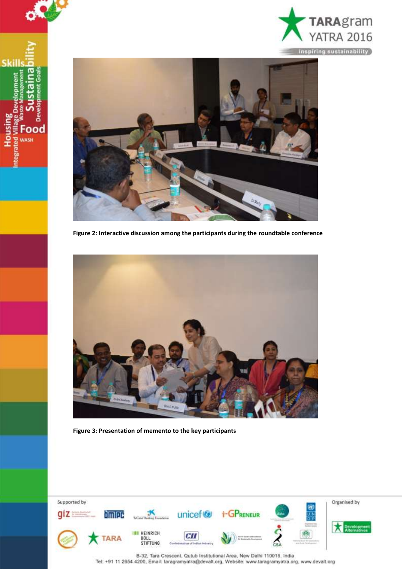



O٦

ood **MASH** 

**Skill:** 

ousing

**Figure 2: Interactive discussion among the participants during the roundtable conference**



**Figure 3: Presentation of memento to the key participants**

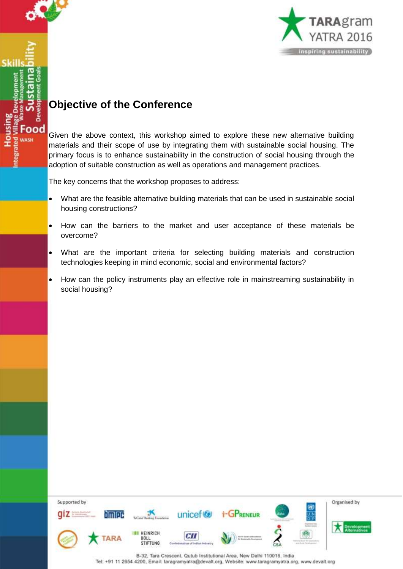

**ood** 

Ski



# <span id="page-6-0"></span>**Objective of the Conference**

Given the above context, this workshop aimed to explore these new alternative building materials and their scope of use by integrating them with sustainable social housing. The primary focus is to enhance sustainability in the construction of social housing through the adoption of suitable construction as well as operations and management practices.

The key concerns that the workshop proposes to address:

- What are the feasible alternative building materials that can be used in sustainable social housing constructions?
- How can the barriers to the market and user acceptance of these materials be overcome?
- What are the important criteria for selecting building materials and construction technologies keeping in mind economic, social and environmental factors?
- How can the policy instruments play an effective role in mainstreaming sustainability in social housing?

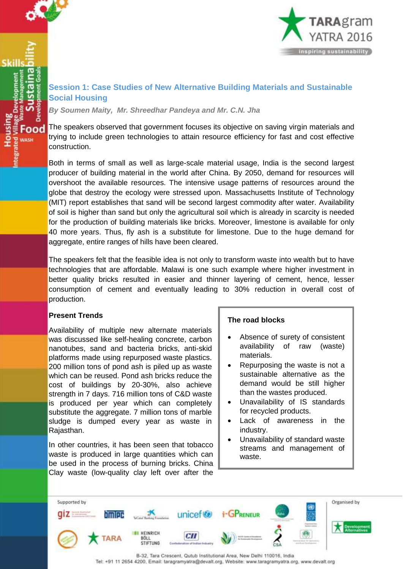

ood **DACH** 



### <span id="page-7-0"></span>**Session 1: Case Studies of New Alternative Building Materials and Sustainable Social Housing**

*By Soumen Maity, Mr. Shreedhar Pandeya and Mr. C.N. Jha*

The speakers observed that government focuses its objective on saving virgin materials and trying to include green technologies to attain resource efficiency for fast and cost effective construction.

Both in terms of small as well as large-scale material usage, India is the second largest producer of building material in the world after China. By 2050, demand for resources will overshoot the available resources. The intensive usage patterns of resources around the globe that destroy the ecology were stressed upon. Massachusetts Institute of Technology (MIT) report establishes that sand will be second largest commodity after water. Availability of soil is higher than sand but only the agricultural soil which is already in scarcity is needed for the production of building materials like bricks. Moreover, limestone is available for only 40 more years. Thus, fly ash is a substitute for limestone. Due to the huge demand for aggregate, entire ranges of hills have been cleared.

The speakers felt that the feasible idea is not only to transform waste into wealth but to have technologies that are affordable. Malawi is one such example where higher investment in better quality bricks resulted in easier and thinner layering of cement, hence, lesser consumption of cement and eventually leading to 30% reduction in overall cost of production.

#### **Present Trends**

Availability of multiple new alternate materials was discussed like self-healing concrete, carbon nanotubes, sand and bacteria bricks, anti-skid platforms made using repurposed waste plastics. 200 million tons of pond ash is piled up as waste which can be reused. Pond ash bricks reduce the cost of buildings by 20-30%, also achieve strength in 7 days. 716 million tons of C&D waste is produced per year which can completely substitute the aggregate. 7 million tons of marble sludge is dumped every year as waste in Rajasthan.

In other countries, it has been seen that tobacco waste is produced in large quantities which can be used in the process of burning bricks. China Clay waste (low-quality clay left over after the

#### **The road blocks**

- Absence of surety of consistent availability of raw (waste) materials.
- Repurposing the waste is not a sustainable alternative as the demand would be still higher than the wastes produced.
- Unavailability of IS standards for recycled products.
- Lack of awareness in the industry.
- Unavailability of standard waste streams and management of waste.

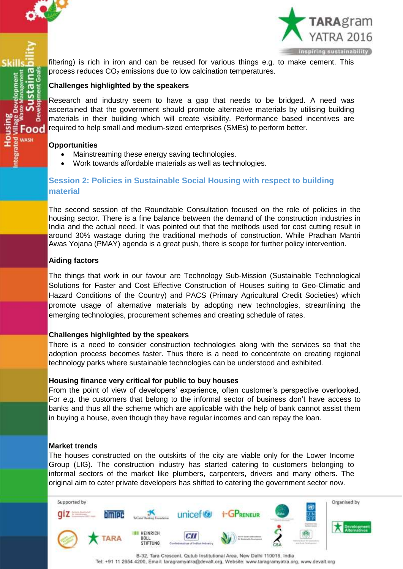

Food **MASH** 



filtering) is rich in iron and can be reused for various things e.g. to make cement. This process reduces  $CO<sub>2</sub>$  emissions due to low calcination temperatures.

#### **Challenges highlighted by the speakers**

Research and industry seem to have a gap that needs to be bridged. A need was ascertained that the government should promote alternative materials by utilising building materials in their building which will create visibility. Performance based incentives are required to help small and medium-sized enterprises (SMEs) to perform better.

#### **Opportunities**

- Mainstreaming these energy saving technologies.
- Work towards affordable materials as well as technologies.

#### <span id="page-8-0"></span>**Session 2: Policies in Sustainable Social Housing with respect to building material**

The second session of the Roundtable Consultation focused on the role of policies in the housing sector. There is a fine balance between the demand of the construction industries in India and the actual need. It was pointed out that the methods used for cost cutting result in around 30% wastage during the traditional methods of construction. While Pradhan Mantri Awas Yojana (PMAY) agenda is a great push, there is scope for further policy intervention.

#### **Aiding factors**

The things that work in our favour are Technology Sub-Mission (Sustainable Technological Solutions for Faster and Cost Effective Construction of Houses suiting to Geo-Climatic and Hazard Conditions of the Country) and PACS (Primary Agricultural Credit Societies) which promote usage of alternative materials by adopting new technologies, streamlining the emerging technologies, procurement schemes and creating schedule of rates.

#### **Challenges highlighted by the speakers**

There is a need to consider construction technologies along with the services so that the adoption process becomes faster. Thus there is a need to concentrate on creating regional technology parks where sustainable technologies can be understood and exhibited.

#### **Housing finance very critical for public to buy houses**

From the point of view of developers' experience, often customer's perspective overlooked. For e.g. the customers that belong to the informal sector of business don't have access to banks and thus all the scheme which are applicable with the help of bank cannot assist them in buying a house, even though they have regular incomes and can repay the loan.

#### **Market trends**

The houses constructed on the outskirts of the city are viable only for the Lower Income Group (LIG). The construction industry has started catering to customers belonging to informal sectors of the market like plumbers, carpenters, drivers and many others. The original aim to cater private developers has shifted to catering the government sector now.

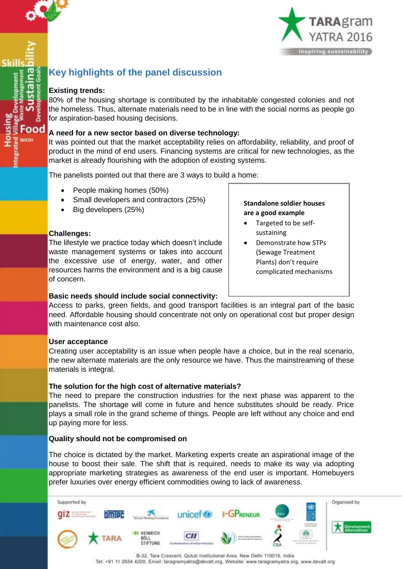

ood



## **Key highlights of the panel discussion**

#### **Existing trends:**

80% of the housing shortage is contributed by the inhabitable congested colonies and not the homeless. Thus, alternate materials need to be in line with the social norms as people go for aspiration-based housing decisions.

#### **A need for a new sector based on diverse technology:**

It was pointed out that the market acceptability relies on affordability, reliability, and proof of product in the mind of end users. Financing systems are critical for new technologies, as the market is already flourishing with the adoption of existing systems.

The panelists pointed out that there are 3 ways to build a home:

- People making homes (50%)
- Small developers and contractors (25%)
- Big developers (25%)

#### **Challenges:**

The lifestyle we practice today which doesn't include waste management systems or takes into account the excessive use of energy, water, and other resources harms the environment and is a big cause of concern.

#### **Basic needs should include social connectivity:**

Access to parks, green fields, and good transport facilities is an integral part of the basic need. Affordable housing should concentrate not only on operational cost but proper design with maintenance cost also.

#### **User acceptance**

Creating user acceptability is an issue when people have a choice, but in the real scenario, the new alternate materials are the only resource we have. Thus the mainstreaming of these materials is integral.

#### **The solution for the high cost of alternative materials?**

The need to prepare the construction industries for the next phase was apparent to the panelists. The shortage will come in future and hence substitutes should be ready. Price plays a small role in the grand scheme of things. People are left without any choice and end up paying more for less.

#### **Quality should not be compromised on**

The choice is dictated by the market. Marketing experts create an aspirational image of the house to boost their sale. The shift that is required, needs to make its way via adopting appropriate marketing strategies as awareness of the end user is important. Homebuyers prefer luxuries over energy efficient commodities owing to lack of awareness.



**Standalone soldier houses are a good example**

- Targeted to be selfsustaining
- Demonstrate how STPs (Sewage Treatment Plants) don't require complicated mechanisms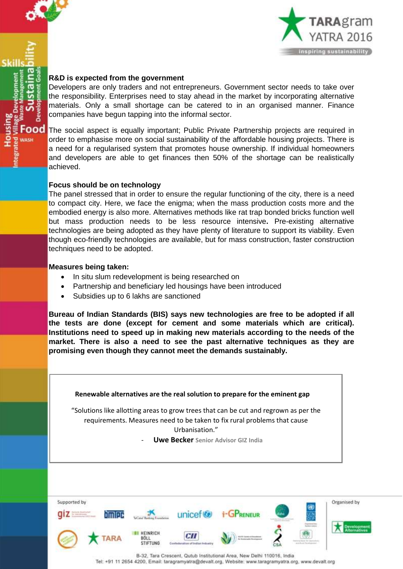

ood UACH



#### **R&D is expected from the government**

Developers are only traders and not entrepreneurs. Government sector needs to take over the responsibility. Enterprises need to stay ahead in the market by incorporating alternative materials. Only a small shortage can be catered to in an organised manner. Finance companies have begun tapping into the informal sector.

The social aspect is equally important; Public Private Partnership projects are required in order to emphasise more on social sustainability of the affordable housing projects. There is a need for a regularised system that promotes house ownership. If individual homeowners and developers are able to get finances then 50% of the shortage can be realistically achieved.

#### **Focus should be on technology**

The panel stressed that in order to ensure the regular functioning of the city, there is a need to compact city. Here, we face the enigma; when the mass production costs more and the embodied energy is also more. Alternatives methods like rat trap bonded bricks function well but mass production needs to be less resource intensive**.** Pre-existing alternative technologies are being adopted as they have plenty of literature to support its viability. Even though eco-friendly technologies are available, but for mass construction, faster construction techniques need to be adopted.

#### **Measures being taken:**

- In situ slum redevelopment is being researched on
- Partnership and beneficiary led housings have been introduced
- Subsidies up to 6 lakhs are sanctioned

**Bureau of Indian Standards (BIS) says new technologies are free to be adopted if all the tests are done (except for cement and some materials which are critical). Institutions need to speed up in making new materials according to the needs of the market. There is also a need to see the past alternative techniques as they are promising even though they cannot meet the demands sustainably.**



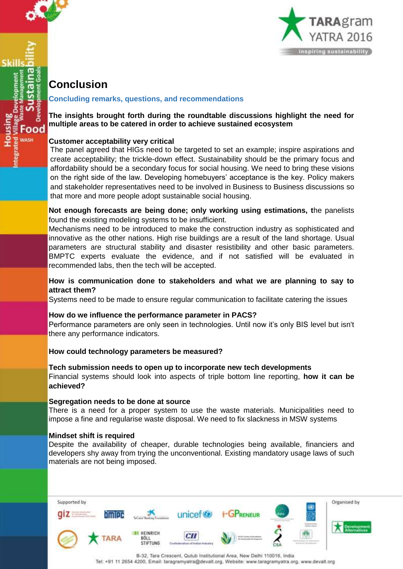

**MASH** 



## <span id="page-11-0"></span>**Conclusion**

#### **Concluding remarks, questions, and recommendations**

#### **The insights brought forth during the roundtable discussions highlight the need for multiple areas to be catered in order to achieve sustained ecosystem**

#### **Customer acceptability very critical**

The panel agreed that HIGs need to be targeted to set an example; inspire aspirations and create acceptability; the trickle-down effect. Sustainability should be the primary focus and affordability should be a secondary focus for social housing. We need to bring these visions on the right side of the law. Developing homebuyers' acceptance is the key. Policy makers and stakeholder representatives need to be involved in Business to Business discussions so that more and more people adopt sustainable social housing.

**Not enough forecasts are being done; only working using estimations, t**he panelists found the existing modeling systems to be insufficient.

Mechanisms need to be introduced to make the construction industry as sophisticated and innovative as the other nations. High rise buildings are a result of the land shortage. Usual parameters are structural stability and disaster resistibility and other basic parameters. BMPTC experts evaluate the evidence, and if not satisfied will be evaluated in recommended labs, then the tech will be accepted.

#### **How is communication done to stakeholders and what we are planning to say to attract them?**

Systems need to be made to ensure regular communication to facilitate catering the issues

#### **How do we influence the performance parameter in PACS?**

Performance parameters are only seen in technologies. Until now it's only BIS level but isn't there any performance indicators.

#### **How could technology parameters be measured?**

**Tech submission needs to open up to incorporate new tech developments** Financial systems should look into aspects of triple bottom line reporting, **how it can be achieved?**

#### **Segregation needs to be done at source**

There is a need for a proper system to use the waste materials. Municipalities need to impose a fine and regularise waste disposal. We need to fix slackness in MSW systems

#### **Mindset shift is required**

Despite the availability of cheaper, durable technologies being available, financiers and developers shy away from trying the unconventional. Existing mandatory usage laws of such materials are not being imposed.

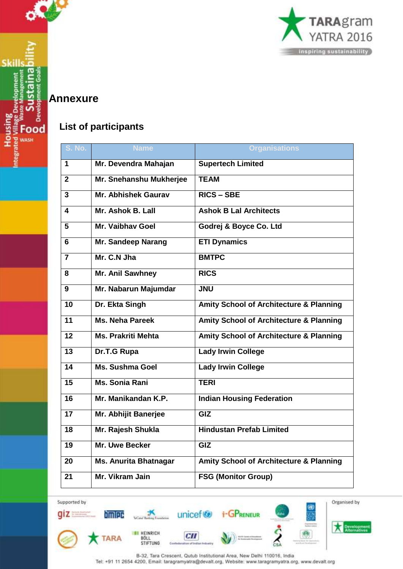

### <span id="page-12-0"></span>**Annexure**

**Skills** 

**Housing**<br>ted Village Dev

Develo

Food **WASH** 

### **List of participants**

| <b>S. No.</b>           | <b>Name</b>                  | <b>Organisations</b>                               |
|-------------------------|------------------------------|----------------------------------------------------|
| 1                       | Mr. Devendra Mahajan         | <b>Supertech Limited</b>                           |
| $\mathbf{z}$            | Mr. Snehanshu Mukherjee      | <b>TEAM</b>                                        |
| 3                       | Mr. Abhishek Gaurav          | <b>RICS - SBE</b>                                  |
| 4                       | Mr. Ashok B. Lall            | <b>Ashok B Lal Architects</b>                      |
| 5                       | Mr. Vaibhay Goel             | Godrej & Boyce Co. Ltd                             |
| 6                       | Mr. Sandeep Narang           | <b>ETI Dynamics</b>                                |
| $\overline{\mathbf{7}}$ | Mr. C.N Jha                  | <b>BMTPC</b>                                       |
| 8                       | <b>Mr. Anil Sawhney</b>      | <b>RICS</b>                                        |
| 9                       | Mr. Nabarun Majumdar         | <b>JNU</b>                                         |
| 10                      | Dr. Ekta Singh               | <b>Amity School of Architecture &amp; Planning</b> |
| 11                      | Ms. Neha Pareek              | <b>Amity School of Architecture &amp; Planning</b> |
| 12                      | <b>Ms. Prakriti Mehta</b>    | <b>Amity School of Architecture &amp; Planning</b> |
| 13                      | Dr.T.G Rupa                  | <b>Lady Irwin College</b>                          |
| $\overline{14}$         | <b>Ms. Sushma Goel</b>       | <b>Lady Irwin College</b>                          |
| $\overline{15}$         | Ms. Sonia Rani               | <b>TERI</b>                                        |
| 16                      | Mr. Manikandan K.P.          | <b>Indian Housing Federation</b>                   |
| 17                      | Mr. Abhijit Banerjee         | GIZ                                                |
| 18                      | Mr. Rajesh Shukla            | <b>Hindustan Prefab Limited</b>                    |
| $\overline{19}$         | Mr. Uwe Becker               | GIZ                                                |
| 20                      | <b>Ms. Anurita Bhatnagar</b> | <b>Amity School of Architecture &amp; Planning</b> |
| 21                      | Mr. Vikram Jain              | <b>FSG (Monitor Group)</b>                         |